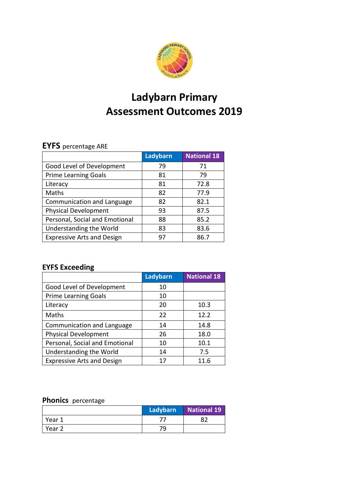

# **Ladybarn Primary Assessment Outcomes 2019**

# **EYFS** percentage ARE

|                                   | Ladybarn | <b>National 18</b> |
|-----------------------------------|----------|--------------------|
| Good Level of Development         | 79       | 71                 |
| <b>Prime Learning Goals</b>       | 81       | 79                 |
| Literacy                          | 81       | 72.8               |
| Maths                             | 82       | 77.9               |
| Communication and Language        | 82       | 82.1               |
| <b>Physical Development</b>       | 93       | 87.5               |
| Personal, Social and Emotional    | 88       | 85.2               |
| Understanding the World           | 83       | 83.6               |
| <b>Expressive Arts and Design</b> | 97       | 86.7               |

# **EYFS Exceeding**

|                                   | Ladybarn | <b>National 18</b> |
|-----------------------------------|----------|--------------------|
| Good Level of Development         | 10       |                    |
| <b>Prime Learning Goals</b>       | 10       |                    |
| Literacy                          | 20       | 10.3               |
| Maths                             | 22       | 12.2               |
| Communication and Language        | 14       | 14.8               |
| <b>Physical Development</b>       | 26       | 18.0               |
| Personal, Social and Emotional    | 10       | 10.1               |
| Understanding the World           | 14       | 7.5                |
| <b>Expressive Arts and Design</b> |          | 11.6               |

### **Phonics** percentage

|        | Ladybarn | National 19 |
|--------|----------|-------------|
| Year 1 |          | ດາ          |
| Year 2 | 79.      |             |